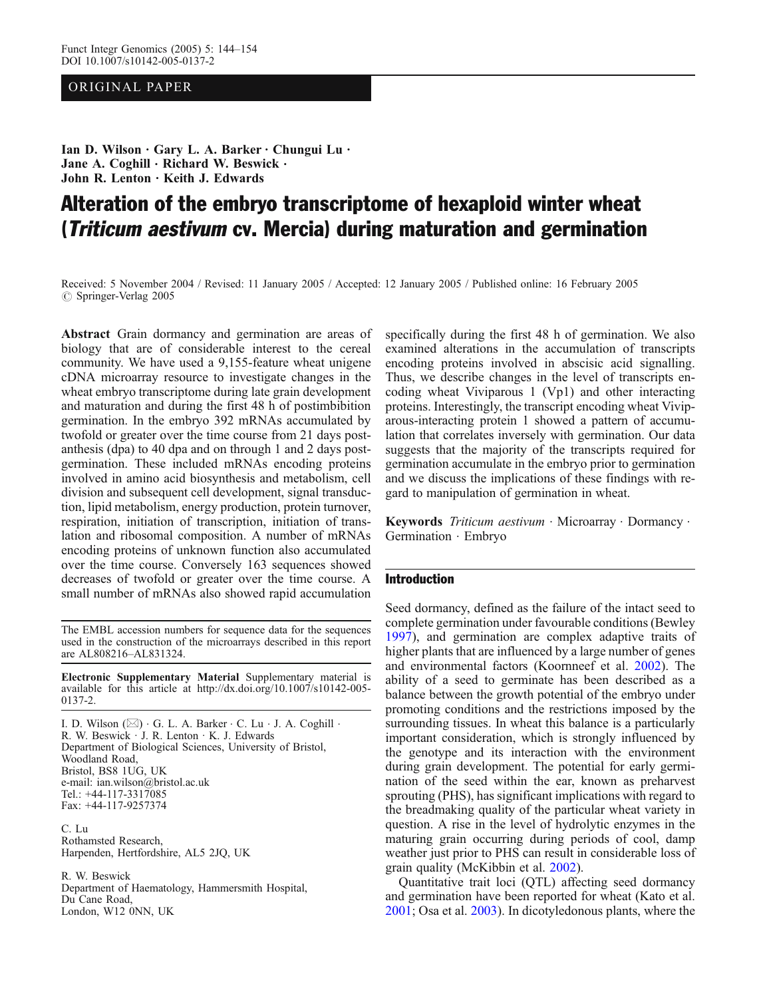## ORIGINAL PAPER

Ian D. Wilson · Gary L. A. Barker · Chungui Lu · Jane A. Coghill · Richard W. Beswick · John R. Lenton . Keith J. Edwards

# Alteration of the embryo transcriptome of hexaploid winter wheat (Triticum aestivum cv. Mercia) during maturation and germination

Received: 5 November 2004 / Revised: 11 January 2005 / Accepted: 12 January 2005 / Published online: 16 February 2005  $\circ$  Springer-Verlag 2005

Abstract Grain dormancy and germination are areas of biology that are of considerable interest to the cereal community. We have used a 9,155-feature wheat unigene cDNA microarray resource to investigate changes in the wheat embryo transcriptome during late grain development and maturation and during the first 48 h of postimbibition germination. In the embryo 392 mRNAs accumulated by twofold or greater over the time course from 21 days postanthesis (dpa) to 40 dpa and on through 1 and 2 days postgermination. These included mRNAs encoding proteins involved in amino acid biosynthesis and metabolism, cell division and subsequent cell development, signal transduction, lipid metabolism, energy production, protein turnover, respiration, initiation of transcription, initiation of translation and ribosomal composition. A number of mRNAs encoding proteins of unknown function also accumulated over the time course. Conversely 163 sequences showed decreases of twofold or greater over the time course. A small number of mRNAs also showed rapid accumulation

The EMBL accession numbers for sequence data for the sequences used in the construction of the microarrays described in this report are AL808216–AL831324.

Electronic Supplementary Material Supplementary material is available for this article at http://dx.doi.org/10.1007/s10142-005- 0137-2.

I. D. Wilson (*\**) . G. L. A. Barker . C. Lu . J. A. Coghill . R. W. Beswick . J. R. Lenton . K. J. Edwards Department of Biological Sciences, University of Bristol, Woodland Road, Bristol, BS8 1UG, UK e-mail: ian.wilson@bristol.ac.uk Tel.: +44-117-3317085 Fax: +44-117-9257374

C. Lu Rothamsted Research, Harpenden, Hertfordshire, AL5 2JQ, UK

R. W. Beswick Department of Haematology, Hammersmith Hospital, Du Cane Road, London, W12 0NN, UK

specifically during the first 48 h of germination. We also examined alterations in the accumulation of transcripts encoding proteins involved in abscisic acid signalling. Thus, we describe changes in the level of transcripts encoding wheat Viviparous 1 (Vp1) and other interacting proteins. Interestingly, the transcript encoding wheat Viviparous-interacting protein 1 showed a pattern of accumulation that correlates inversely with germination. Our data suggests that the majority of the transcripts required for germination accumulate in the embryo prior to germination and we discuss the implications of these findings with regard to manipulation of germination in wheat.

Keywords Triticum aestivum · Microarray · Dormancy · Germination . Embryo

#### Introduction

Seed dormancy, defined as the failure of the intact seed to complete germination under favourable conditions (Bewley [1997](#page-9-0)), and germination are complex adaptive traits of higher plants that are influenced by a large number of genes and environmental factors (Koornneef et al. [2002](#page-10-0)). The ability of a seed to germinate has been described as a balance between the growth potential of the embryo under promoting conditions and the restrictions imposed by the surrounding tissues. In wheat this balance is a particularly important consideration, which is strongly influenced by the genotype and its interaction with the environment during grain development. The potential for early germination of the seed within the ear, known as preharvest sprouting (PHS), has significant implications with regard to the breadmaking quality of the particular wheat variety in question. A rise in the level of hydrolytic enzymes in the maturing grain occurring during periods of cool, damp weather just prior to PHS can result in considerable loss of grain quality (McKibbin et al. [2002](#page-10-0)).

Quantitative trait loci (QTL) affecting seed dormancy and germination have been reported for wheat (Kato et al. [2001](#page-10-0); Osa et al. [2003](#page-10-0)). In dicotyledonous plants, where the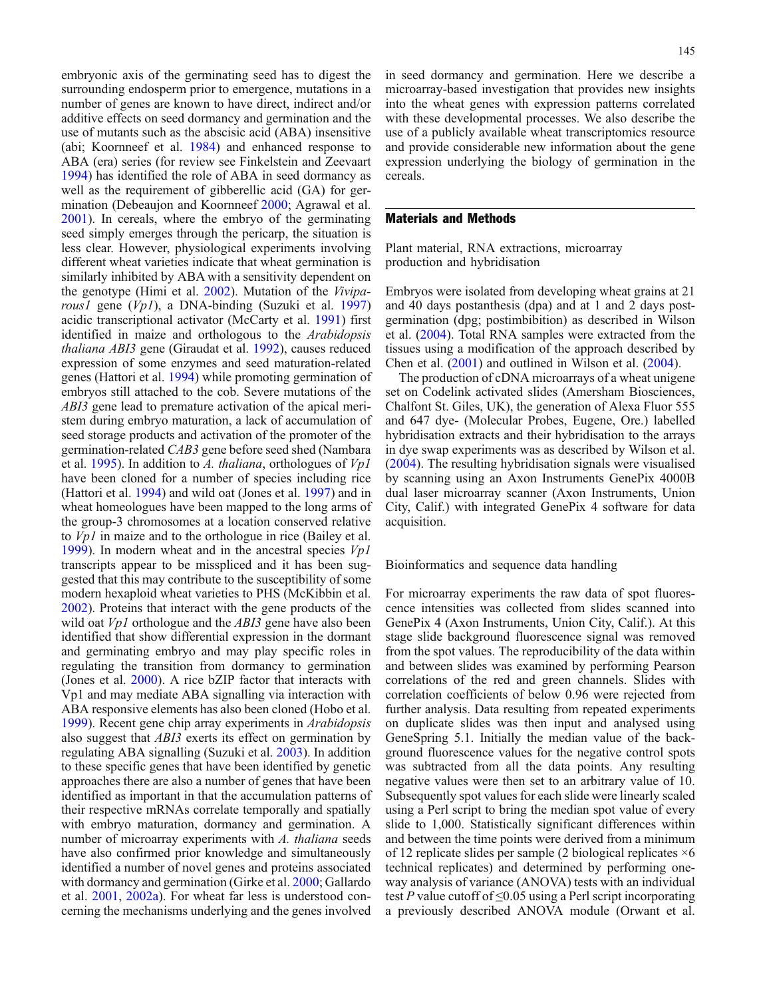embryonic axis of the germinating seed has to digest the surrounding endosperm prior to emergence, mutations in a number of genes are known to have direct, indirect and/or additive effects on seed dormancy and germination and the use of mutants such as the abscisic acid (ABA) insensitive (abi; Koornneef et al. [1984\)](#page-10-0) and enhanced response to ABA (era) series (for review see Finkelstein and Zeevaart [1994](#page-10-0)) has identified the role of ABA in seed dormancy as well as the requirement of gibberellic acid (GA) for germination (Debeaujon and Koornneef [2000](#page-9-0); Agrawal et al. [2001](#page-9-0)). In cereals, where the embryo of the germinating seed simply emerges through the pericarp, the situation is less clear. However, physiological experiments involving different wheat varieties indicate that wheat germination is similarly inhibited by ABA with a sensitivity dependent on the genotype (Himi et al. [2002](#page-10-0)). Mutation of the Viviparous1 gene  $(Vp1)$ , a DNA-binding (Suzuki et al. [1997\)](#page-10-0) acidic transcriptional activator (McCarty et al. [1991\)](#page-10-0) first identified in maize and orthologous to the Arabidopsis thaliana ABI3 gene (Giraudat et al. [1992](#page-10-0)), causes reduced expression of some enzymes and seed maturation-related genes (Hattori et al. [1994](#page-10-0)) while promoting germination of embryos still attached to the cob. Severe mutations of the ABI3 gene lead to premature activation of the apical meristem during embryo maturation, a lack of accumulation of seed storage products and activation of the promoter of the germination-related CAB3 gene before seed shed (Nambara et al. [1995](#page-10-0)). In addition to A. thaliana, orthologues of Vp1 have been cloned for a number of species including rice (Hattori et al. [1994](#page-10-0)) and wild oat (Jones et al. [1997](#page-10-0)) and in wheat homeologues have been mapped to the long arms of the group-3 chromosomes at a location conserved relative to Vp1 in maize and to the orthologue in rice (Bailey et al. [1999](#page-9-0)). In modern wheat and in the ancestral species  $Vp1$ transcripts appear to be misspliced and it has been suggested that this may contribute to the susceptibility of some modern hexaploid wheat varieties to PHS (McKibbin et al. [2002](#page-10-0)). Proteins that interact with the gene products of the wild oat *Vp1* orthologue and the *ABI3* gene have also been identified that show differential expression in the dormant and germinating embryo and may play specific roles in regulating the transition from dormancy to germination (Jones et al. [2000\)](#page-10-0). A rice bZIP factor that interacts with Vp1 and may mediate ABA signalling via interaction with ABA responsive elements has also been cloned (Hobo et al. [1999](#page-10-0)). Recent gene chip array experiments in Arabidopsis also suggest that ABI3 exerts its effect on germination by regulating ABA signalling (Suzuki et al. [2003](#page-10-0)). In addition to these specific genes that have been identified by genetic approaches there are also a number of genes that have been identified as important in that the accumulation patterns of their respective mRNAs correlate temporally and spatially with embryo maturation, dormancy and germination. A number of microarray experiments with A. thaliana seeds have also confirmed prior knowledge and simultaneously identified a number of novel genes and proteins associated with dormancy and germination (Girke et al. [2000](#page-10-0); Gallardo et al. [2001](#page-10-0), [2002a\)](#page-10-0). For wheat far less is understood concerning the mechanisms underlying and the genes involved in seed dormancy and germination. Here we describe a microarray-based investigation that provides new insights into the wheat genes with expression patterns correlated with these developmental processes. We also describe the use of a publicly available wheat transcriptomics resource and provide considerable new information about the gene expression underlying the biology of germination in the cereals.

## Materials and Methods

Plant material, RNA extractions, microarray production and hybridisation

Embryos were isolated from developing wheat grains at 21 and 40 days postanthesis (dpa) and at 1 and 2 days postgermination (dpg; postimbibition) as described in Wilson et al. ([2004](#page-10-0)). Total RNA samples were extracted from the tissues using a modification of the approach described by Chen et al. ([2001](#page-9-0)) and outlined in Wilson et al. [\(2004](#page-10-0)).

The production of cDNA microarrays of a wheat unigene set on Codelink activated slides (Amersham Biosciences, Chalfont St. Giles, UK), the generation of Alexa Fluor 555 and 647 dye- (Molecular Probes, Eugene, Ore.) labelled hybridisation extracts and their hybridisation to the arrays in dye swap experiments was as described by Wilson et al. ([2004\)](#page-10-0). The resulting hybridisation signals were visualised by scanning using an Axon Instruments GenePix 4000B dual laser microarray scanner (Axon Instruments, Union City, Calif.) with integrated GenePix 4 software for data acquisition.

Bioinformatics and sequence data handling

For microarray experiments the raw data of spot fluorescence intensities was collected from slides scanned into GenePix 4 (Axon Instruments, Union City, Calif.). At this stage slide background fluorescence signal was removed from the spot values. The reproducibility of the data within and between slides was examined by performing Pearson correlations of the red and green channels. Slides with correlation coefficients of below 0.96 were rejected from further analysis. Data resulting from repeated experiments on duplicate slides was then input and analysed using GeneSpring 5.1. Initially the median value of the background fluorescence values for the negative control spots was subtracted from all the data points. Any resulting negative values were then set to an arbitrary value of 10. Subsequently spot values for each slide were linearly scaled using a Perl script to bring the median spot value of every slide to 1,000. Statistically significant differences within and between the time points were derived from a minimum of 12 replicate slides per sample (2 biological replicates  $\times$ 6 technical replicates) and determined by performing oneway analysis of variance (ANOVA) tests with an individual test P value cutoff of  $\leq 0.05$  using a Perl script incorporating a previously described ANOVA module (Orwant et al.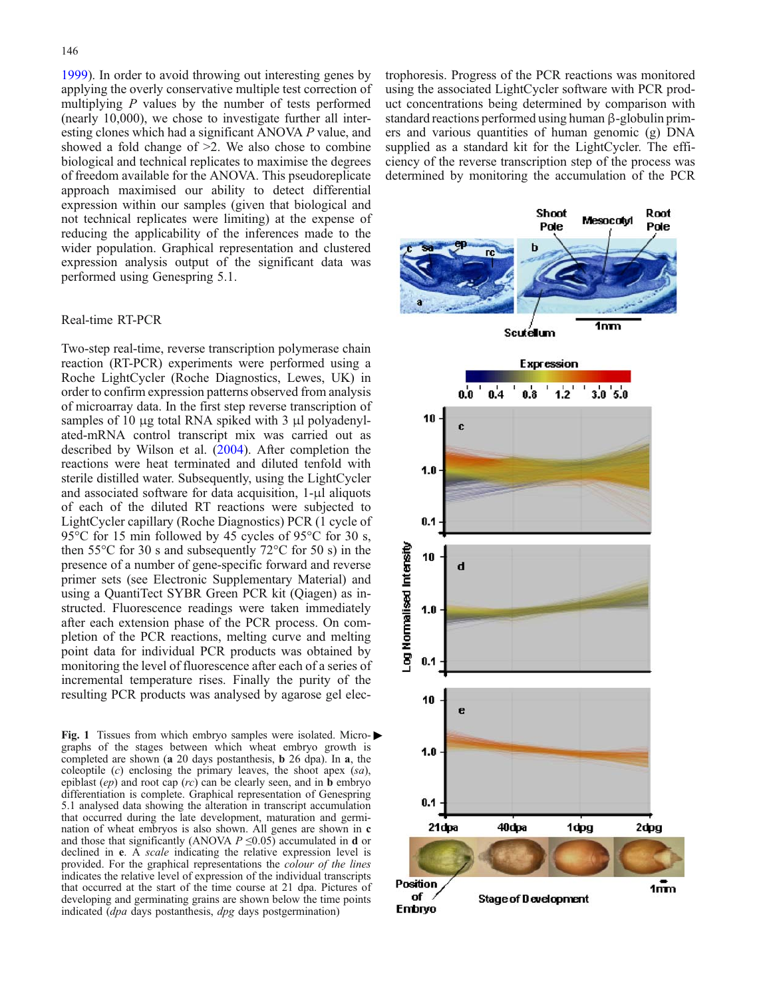<span id="page-2-0"></span>[1999](#page-10-0)). In order to avoid throwing out interesting genes by applying the overly conservative multiple test correction of multiplying P values by the number of tests performed (nearly 10,000), we chose to investigate further all interesting clones which had a significant ANOVA P value, and showed a fold change of >2. We also chose to combine biological and technical replicates to maximise the degrees of freedom available for the ANOVA. This pseudoreplicate approach maximised our ability to detect differential expression within our samples (given that biological and not technical replicates were limiting) at the expense of reducing the applicability of the inferences made to the wider population. Graphical representation and clustered expression analysis output of the significant data was performed using Genespring 5.1.

#### Real-time RT-PCR

Two-step real-time, reverse transcription polymerase chain reaction (RT-PCR) experiments were performed using a Roche LightCycler (Roche Diagnostics, Lewes, UK) in order to confirm expression patterns observed from analysis of microarray data. In the first step reverse transcription of samples of 10 μg total RNA spiked with 3 μl polyadenylated-mRNA control transcript mix was carried out as described by Wilson et al. ([2004\)](#page-10-0). After completion the reactions were heat terminated and diluted tenfold with sterile distilled water. Subsequently, using the LightCycler and associated software for data acquisition, 1-μl aliquots of each of the diluted RT reactions were subjected to LightCycler capillary (Roche Diagnostics) PCR (1 cycle of 95°C for 15 min followed by 45 cycles of 95°C for 30 s, then  $55^{\circ}$ C for 30 s and subsequently  $72^{\circ}$ C for 50 s) in the presence of a number of gene-specific forward and reverse primer sets (see Electronic Supplementary Material) and using a QuantiTect SYBR Green PCR kit (Qiagen) as instructed. Fluorescence readings were taken immediately after each extension phase of the PCR process. On completion of the PCR reactions, melting curve and melting point data for individual PCR products was obtained by monitoring the level of fluorescence after each of a series of incremental temperature rises. Finally the purity of the resulting PCR products was analysed by agarose gel elec-

Fig. 1 Tissues from which embryo samples were isolated. Micro- $\blacktriangleright$ graphs of the stages between which wheat embryo growth is completed are shown (a 20 days postanthesis, b 26 dpa). In a, the coleoptile  $(c)$  enclosing the primary leaves, the shoot apex  $(sa)$ , epiblast  $(ep)$  and root cap  $(re)$  can be clearly seen, and in  $\hat{b}$  embryo differentiation is complete. Graphical representation of Genespring 5.1 analysed data showing the alteration in transcript accumulation that occurred during the late development, maturation and germination of wheat embryos is also shown. All genes are shown in c and those that significantly (ANOVA  $P \leq 0.05$ ) accumulated in **d** or declined in e. A scale indicating the relative expression level is provided. For the graphical representations the colour of the lines indicates the relative level of expression of the individual transcripts that occurred at the start of the time course at 21 dpa. Pictures of developing and germinating grains are shown below the time points indicated (dpa days postanthesis, dpg days postgermination)

trophoresis. Progress of the PCR reactions was monitored using the associated LightCycler software with PCR product concentrations being determined by comparison with standard reactions performed using human β-globulin primers and various quantities of human genomic (g) DNA supplied as a standard kit for the LightCycler. The efficiency of the reverse transcription step of the process was determined by monitoring the accumulation of the PCR

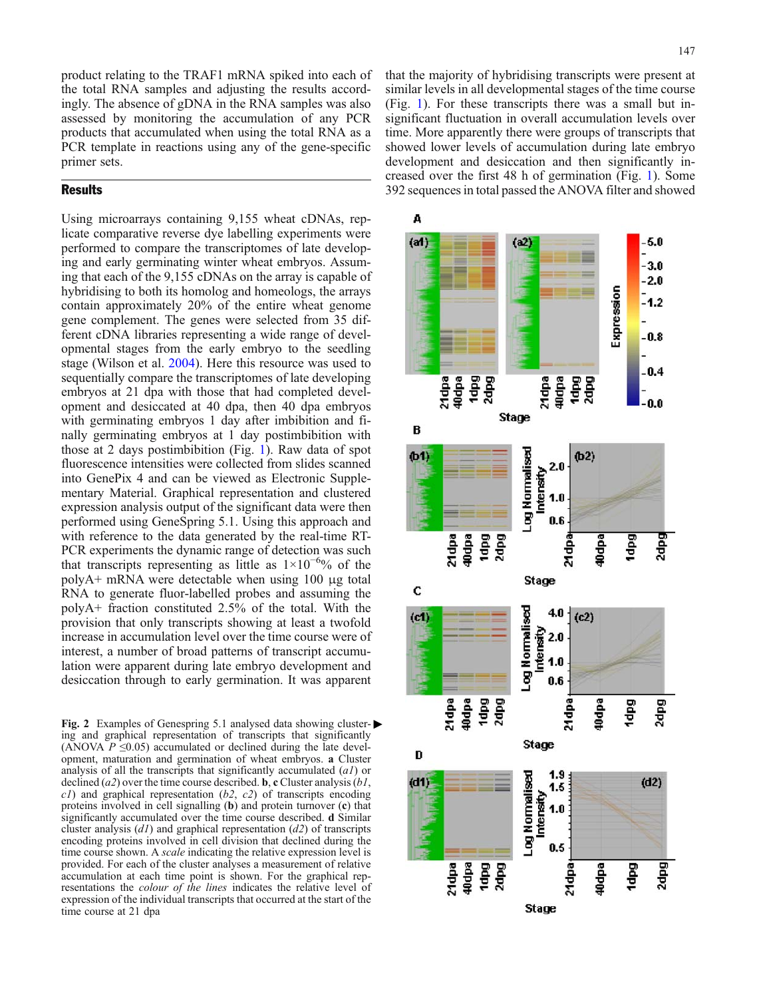<span id="page-3-0"></span>product relating to the TRAF1 mRNA spiked into each of the total RNA samples and adjusting the results accordingly. The absence of gDNA in the RNA samples was also assessed by monitoring the accumulation of any PCR products that accumulated when using the total RNA as a PCR template in reactions using any of the gene-specific primer sets.

### **Results**

Using microarrays containing 9,155 wheat cDNAs, replicate comparative reverse dye labelling experiments were performed to compare the transcriptomes of late developing and early germinating winter wheat embryos. Assuming that each of the 9,155 cDNAs on the array is capable of hybridising to both its homolog and homeologs, the arrays contain approximately 20% of the entire wheat genome gene complement. The genes were selected from 35 different cDNA libraries representing a wide range of developmental stages from the early embryo to the seedling stage (Wilson et al. [2004\)](#page-10-0). Here this resource was used to sequentially compare the transcriptomes of late developing embryos at 21 dpa with those that had completed development and desiccated at 40 dpa, then 40 dpa embryos with germinating embryos 1 day after imbibition and finally germinating embryos at 1 day postimbibition with those at 2 days postimbibition (Fig. [1](#page-2-0)). Raw data of spot fluorescence intensities were collected from slides scanned into GenePix 4 and can be viewed as Electronic Supplementary Material. Graphical representation and clustered expression analysis output of the significant data were then performed using GeneSpring 5.1. Using this approach and with reference to the data generated by the real-time RT-PCR experiments the dynamic range of detection was such that transcripts representing as little as  $1\times10^{-6}$ % of the polyA+ mRNA were detectable when using 100 μg total RNA to generate fluor-labelled probes and assuming the polyA+ fraction constituted 2.5% of the total. With the provision that only transcripts showing at least a twofold increase in accumulation level over the time course were of interest, a number of broad patterns of transcript accumulation were apparent during late embryo development and desiccation through to early germination. It was apparent

Fig. 2 Examples of Genespring 5.1 analysed data showing cluster- $\blacktriangleright$ ing and graphical representation of transcripts that significantly (ANOVA  $P \leq 0.05$ ) accumulated or declined during the late development, maturation and germination of wheat embryos. a Cluster analysis of all the transcripts that significantly accumulated  $(a1)$  or declined (a2) over the time course described. **b**, **c** Cluster analysis (b1,  $c1$ ) and graphical representation (b2,  $c2$ ) of transcripts encoding proteins involved in cell signalling (b) and protein turnover (c) that significantly accumulated over the time course described. d Similar cluster analysis  $(d)$  and graphical representation  $(d)$  of transcripts encoding proteins involved in cell division that declined during the time course shown. A scale indicating the relative expression level is provided. For each of the cluster analyses a measurement of relative accumulation at each time point is shown. For the graphical representations the colour of the lines indicates the relative level of expression of the individual transcripts that occurred at the start of the time course at 21 dpa

that the majority of hybridising transcripts were present at similar levels in all developmental stages of the time course (Fig. [1\)](#page-2-0). For these transcripts there was a small but insignificant fluctuation in overall accumulation levels over time. More apparently there were groups of transcripts that showed lower levels of accumulation during late embryo development and desiccation and then significantly increased over the first 48 h of germination (Fig. [1\)](#page-2-0). Some 392 sequences in total passed the ANOVA filter and showed

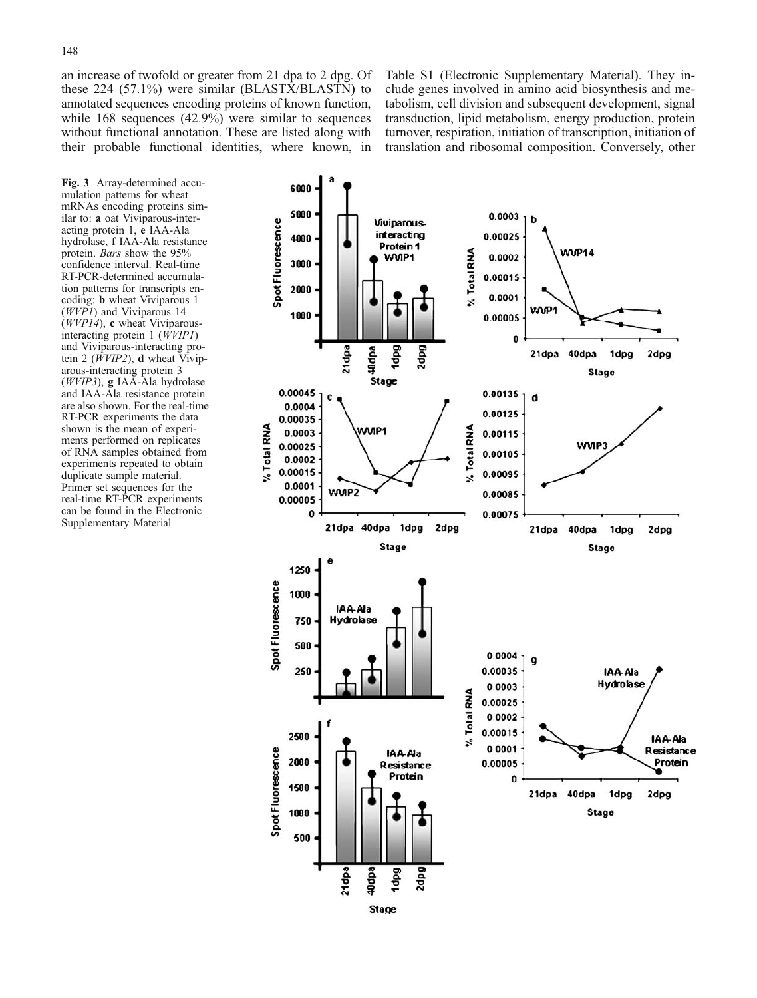<span id="page-4-0"></span>an increase of twofold or greater from 21 dpa to 2 dpg. Of these 224 (57.1%) were similar (BLASTX/BLASTN) to annotated sequences encoding proteins of known function, while 168 sequences (42.9%) were similar to sequences without functional annotation. These are listed along with their probable functional identities, where known, in Table S1 (Electronic Supplementary Material). They include genes involved in amino acid biosynthesis and metabolism, cell division and subsequent development, signal transduction, lipid metabolism, energy production, protein turnover, respiration, initiation of transcription, initiation of translation and ribosomal composition. Conversely, other

Fig. 3 Array-determined accumulation patterns for wheat mRNAs encoding proteins similar to: a oat Viviparous-interacting protein 1, e IAA-Ala hydrolase, f IAA-Ala resistance protein. Bars show the 95% confidence interval. Real-time RT-PCR-determined accumulation patterns for transcripts encoding: b wheat Viviparous 1 (WVP1) and Viviparous 14 (WVP14), c wheat Viviparousinteracting protein 1 (WVIP1) and Viviparous-interacting protein 2 ( $\hat{W}VIP2$ ), **d** wheat Viviparous-interacting protein 3 (WVIP3), g IAA-Ala hydrolase and IAA-Ala resistance protein are also shown. For the real-time RT-PCR experiments the data shown is the mean of experiments performed on replicates of RNA samples obtained from experiments repeated to obtain duplicate sample material. Primer set sequences for the real-time RT-PCR experiments can be found in the Electronic Supplementary Material

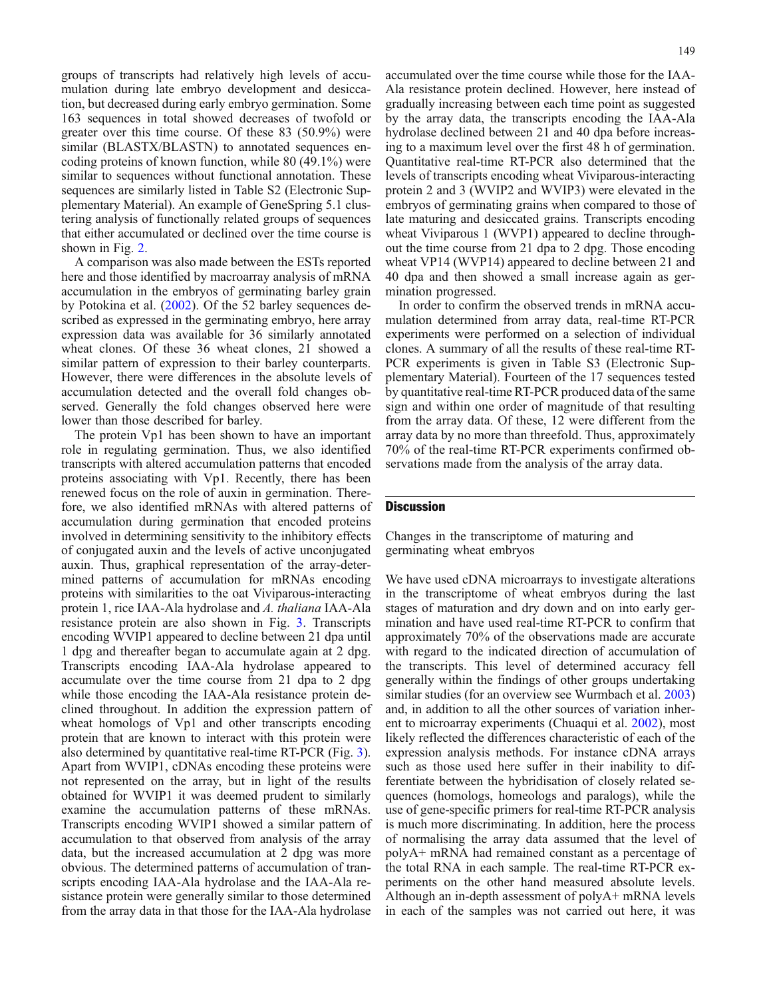groups of transcripts had relatively high levels of accumulation during late embryo development and desiccation, but decreased during early embryo germination. Some 163 sequences in total showed decreases of twofold or greater over this time course. Of these 83 (50.9%) were similar (BLASTX/BLASTN) to annotated sequences encoding proteins of known function, while 80 (49.1%) were similar to sequences without functional annotation. These sequences are similarly listed in Table S2 (Electronic Supplementary Material). An example of GeneSpring 5.1 clustering analysis of functionally related groups of sequences that either accumulated or declined over the time course is shown in Fig. [2.](#page-3-0)

A comparison was also made between the ESTs reported here and those identified by macroarray analysis of mRNA accumulation in the embryos of germinating barley grain by Potokina et al. ([2002\)](#page-10-0). Of the 52 barley sequences described as expressed in the germinating embryo, here array expression data was available for 36 similarly annotated wheat clones. Of these 36 wheat clones, 21 showed a similar pattern of expression to their barley counterparts. However, there were differences in the absolute levels of accumulation detected and the overall fold changes observed. Generally the fold changes observed here were lower than those described for barley.

The protein Vp1 has been shown to have an important role in regulating germination. Thus, we also identified transcripts with altered accumulation patterns that encoded proteins associating with Vp1. Recently, there has been renewed focus on the role of auxin in germination. Therefore, we also identified mRNAs with altered patterns of accumulation during germination that encoded proteins involved in determining sensitivity to the inhibitory effects of conjugated auxin and the levels of active unconjugated auxin. Thus, graphical representation of the array-determined patterns of accumulation for mRNAs encoding proteins with similarities to the oat Viviparous-interacting protein 1, rice IAA-Ala hydrolase and A. thaliana IAA-Ala resistance protein are also shown in Fig. [3](#page-4-0). Transcripts encoding WVIP1 appeared to decline between 21 dpa until 1 dpg and thereafter began to accumulate again at 2 dpg. Transcripts encoding IAA-Ala hydrolase appeared to accumulate over the time course from 21 dpa to 2 dpg while those encoding the IAA-Ala resistance protein declined throughout. In addition the expression pattern of wheat homologs of Vp1 and other transcripts encoding protein that are known to interact with this protein were also determined by quantitative real-time RT-PCR (Fig. [3\)](#page-4-0). Apart from WVIP1, cDNAs encoding these proteins were not represented on the array, but in light of the results obtained for WVIP1 it was deemed prudent to similarly examine the accumulation patterns of these mRNAs. Transcripts encoding WVIP1 showed a similar pattern of accumulation to that observed from analysis of the array data, but the increased accumulation at 2 dpg was more obvious. The determined patterns of accumulation of transcripts encoding IAA-Ala hydrolase and the IAA-Ala resistance protein were generally similar to those determined from the array data in that those for the IAA-Ala hydrolase

accumulated over the time course while those for the IAA-Ala resistance protein declined. However, here instead of gradually increasing between each time point as suggested by the array data, the transcripts encoding the IAA-Ala hydrolase declined between 21 and 40 dpa before increasing to a maximum level over the first 48 h of germination. Quantitative real-time RT-PCR also determined that the levels of transcripts encoding wheat Viviparous-interacting protein 2 and 3 (WVIP2 and WVIP3) were elevated in the embryos of germinating grains when compared to those of late maturing and desiccated grains. Transcripts encoding wheat Viviparous 1 (WVP1) appeared to decline throughout the time course from 21 dpa to 2 dpg. Those encoding wheat VP14 (WVP14) appeared to decline between 21 and 40 dpa and then showed a small increase again as germination progressed.

In order to confirm the observed trends in mRNA accumulation determined from array data, real-time RT-PCR experiments were performed on a selection of individual clones. A summary of all the results of these real-time RT-PCR experiments is given in Table S3 (Electronic Supplementary Material). Fourteen of the 17 sequences tested by quantitative real-time RT-PCR produced data of the same sign and within one order of magnitude of that resulting from the array data. Of these, 12 were different from the array data by no more than threefold. Thus, approximately 70% of the real-time RT-PCR experiments confirmed observations made from the analysis of the array data.

## **Discussion**

Changes in the transcriptome of maturing and germinating wheat embryos

We have used cDNA microarrays to investigate alterations in the transcriptome of wheat embryos during the last stages of maturation and dry down and on into early germination and have used real-time RT-PCR to confirm that approximately 70% of the observations made are accurate with regard to the indicated direction of accumulation of the transcripts. This level of determined accuracy fell generally within the findings of other groups undertaking similar studies (for an overview see Wurmbach et al. [2003\)](#page-10-0) and, in addition to all the other sources of variation inherent to microarray experiments (Chuaqui et al. [2002\)](#page-9-0), most likely reflected the differences characteristic of each of the expression analysis methods. For instance cDNA arrays such as those used here suffer in their inability to differentiate between the hybridisation of closely related sequences (homologs, homeologs and paralogs), while the use of gene-specific primers for real-time RT-PCR analysis is much more discriminating. In addition, here the process of normalising the array data assumed that the level of polyA+ mRNA had remained constant as a percentage of the total RNA in each sample. The real-time RT-PCR experiments on the other hand measured absolute levels. Although an in-depth assessment of polyA+ mRNA levels in each of the samples was not carried out here, it was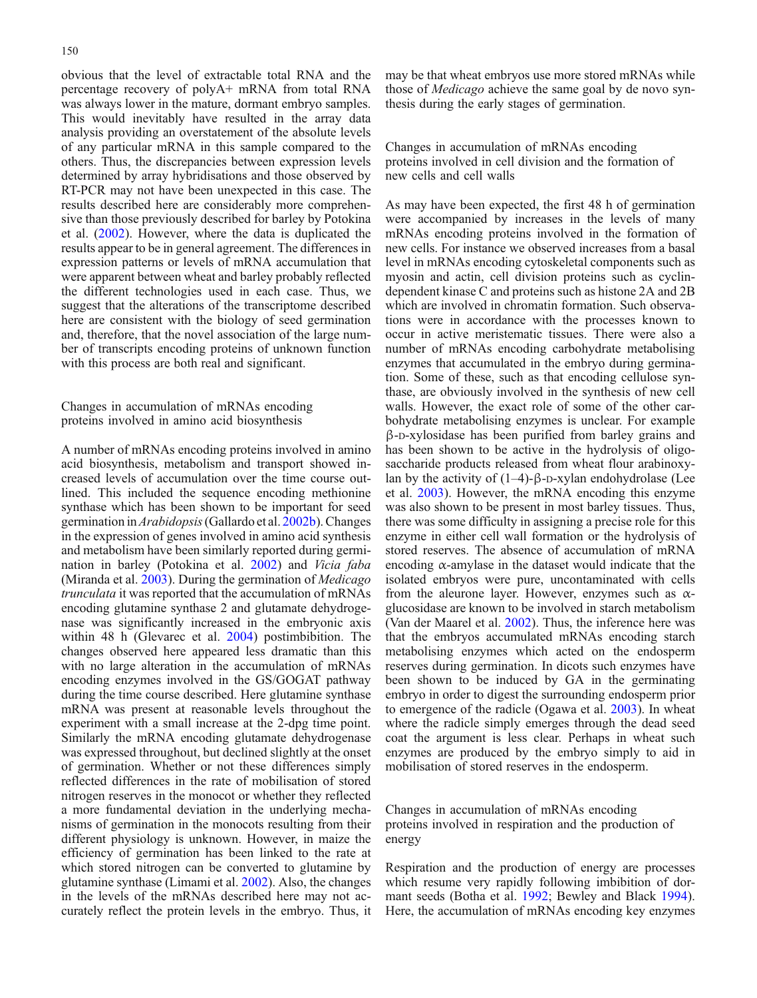obvious that the level of extractable total RNA and the percentage recovery of polyA+ mRNA from total RNA was always lower in the mature, dormant embryo samples. This would inevitably have resulted in the array data analysis providing an overstatement of the absolute levels of any particular mRNA in this sample compared to the others. Thus, the discrepancies between expression levels determined by array hybridisations and those observed by RT-PCR may not have been unexpected in this case. The results described here are considerably more comprehensive than those previously described for barley by Potokina et al. [\(2002](#page-10-0)). However, where the data is duplicated the results appear to be in general agreement. The differences in expression patterns or levels of mRNA accumulation that were apparent between wheat and barley probably reflected the different technologies used in each case. Thus, we suggest that the alterations of the transcriptome described here are consistent with the biology of seed germination and, therefore, that the novel association of the large number of transcripts encoding proteins of unknown function with this process are both real and significant.

### Changes in accumulation of mRNAs encoding proteins involved in amino acid biosynthesis

A number of mRNAs encoding proteins involved in amino acid biosynthesis, metabolism and transport showed increased levels of accumulation over the time course outlined. This included the sequence encoding methionine synthase which has been shown to be important for seed germination inArabidopsis(Gallardo et al. [2002b\)](#page-10-0). Changes in the expression of genes involved in amino acid synthesis and metabolism have been similarly reported during germination in barley (Potokina et al. [2002](#page-10-0)) and Vicia faba (Miranda et al. [2003](#page-10-0)). During the germination of *Medicago* trunculata it was reported that the accumulation of mRNAs encoding glutamine synthase 2 and glutamate dehydrogenase was significantly increased in the embryonic axis within 48 h (Glevarec et al. [2004](#page-10-0)) postimbibition. The changes observed here appeared less dramatic than this with no large alteration in the accumulation of mRNAs encoding enzymes involved in the GS/GOGAT pathway during the time course described. Here glutamine synthase mRNA was present at reasonable levels throughout the experiment with a small increase at the 2-dpg time point. Similarly the mRNA encoding glutamate dehydrogenase was expressed throughout, but declined slightly at the onset of germination. Whether or not these differences simply reflected differences in the rate of mobilisation of stored nitrogen reserves in the monocot or whether they reflected a more fundamental deviation in the underlying mechanisms of germination in the monocots resulting from their different physiology is unknown. However, in maize the efficiency of germination has been linked to the rate at which stored nitrogen can be converted to glutamine by glutamine synthase (Limami et al. [2002\)](#page-10-0). Also, the changes in the levels of the mRNAs described here may not accurately reflect the protein levels in the embryo. Thus, it

may be that wheat embryos use more stored mRNAs while those of Medicago achieve the same goal by de novo synthesis during the early stages of germination.

Changes in accumulation of mRNAs encoding proteins involved in cell division and the formation of new cells and cell walls

As may have been expected, the first 48 h of germination were accompanied by increases in the levels of many mRNAs encoding proteins involved in the formation of new cells. For instance we observed increases from a basal level in mRNAs encoding cytoskeletal components such as myosin and actin, cell division proteins such as cyclindependent kinase C and proteins such as histone 2A and 2B which are involved in chromatin formation. Such observations were in accordance with the processes known to occur in active meristematic tissues. There were also a number of mRNAs encoding carbohydrate metabolising enzymes that accumulated in the embryo during germination. Some of these, such as that encoding cellulose synthase, are obviously involved in the synthesis of new cell walls. However, the exact role of some of the other carbohydrate metabolising enzymes is unclear. For example β-D-xylosidase has been purified from barley grains and has been shown to be active in the hydrolysis of oligosaccharide products released from wheat flour arabinoxylan by the activity of (1–4)-β-D-xylan endohydrolase (Lee et al. [2003](#page-10-0)). However, the mRNA encoding this enzyme was also shown to be present in most barley tissues. Thus, there was some difficulty in assigning a precise role for this enzyme in either cell wall formation or the hydrolysis of stored reserves. The absence of accumulation of mRNA encoding  $\alpha$ -amylase in the dataset would indicate that the isolated embryos were pure, uncontaminated with cells from the aleurone layer. However, enzymes such as  $\alpha$ glucosidase are known to be involved in starch metabolism (Van der Maarel et al. [2002](#page-10-0)). Thus, the inference here was that the embryos accumulated mRNAs encoding starch metabolising enzymes which acted on the endosperm reserves during germination. In dicots such enzymes have been shown to be induced by GA in the germinating embryo in order to digest the surrounding endosperm prior to emergence of the radicle (Ogawa et al. [2003\)](#page-10-0). In wheat where the radicle simply emerges through the dead seed coat the argument is less clear. Perhaps in wheat such enzymes are produced by the embryo simply to aid in mobilisation of stored reserves in the endosperm.

### Changes in accumulation of mRNAs encoding proteins involved in respiration and the production of energy

Respiration and the production of energy are processes which resume very rapidly following imbibition of dormant seeds (Botha et al. [1992;](#page-9-0) Bewley and Black [1994](#page-9-0)). Here, the accumulation of mRNAs encoding key enzymes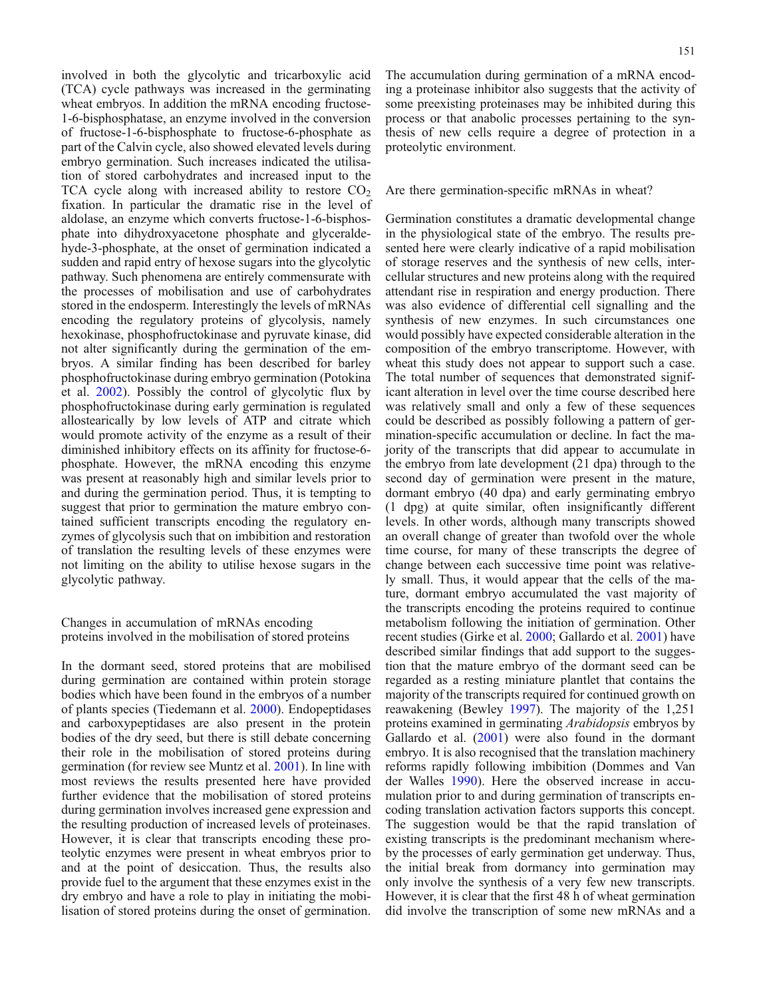involved in both the glycolytic and tricarboxylic acid (TCA) cycle pathways was increased in the germinating wheat embryos. In addition the mRNA encoding fructose-1-6-bisphosphatase, an enzyme involved in the conversion of fructose-1-6-bisphosphate to fructose-6-phosphate as part of the Calvin cycle, also showed elevated levels during embryo germination. Such increases indicated the utilisation of stored carbohydrates and increased input to the TCA cycle along with increased ability to restore  $CO<sub>2</sub>$ fixation. In particular the dramatic rise in the level of aldolase, an enzyme which converts fructose-1-6-bisphosphate into dihydroxyacetone phosphate and glyceraldehyde-3-phosphate, at the onset of germination indicated a sudden and rapid entry of hexose sugars into the glycolytic pathway. Such phenomena are entirely commensurate with the processes of mobilisation and use of carbohydrates stored in the endosperm. Interestingly the levels of mRNAs encoding the regulatory proteins of glycolysis, namely hexokinase, phosphofructokinase and pyruvate kinase, did not alter significantly during the germination of the embryos. A similar finding has been described for barley phosphofructokinase during embryo germination (Potokina et al. [2002\)](#page-10-0). Possibly the control of glycolytic flux by phosphofructokinase during early germination is regulated allostearically by low levels of ATP and citrate which would promote activity of the enzyme as a result of their diminished inhibitory effects on its affinity for fructose-6 phosphate. However, the mRNA encoding this enzyme was present at reasonably high and similar levels prior to and during the germination period. Thus, it is tempting to suggest that prior to germination the mature embryo contained sufficient transcripts encoding the regulatory enzymes of glycolysis such that on imbibition and restoration of translation the resulting levels of these enzymes were not limiting on the ability to utilise hexose sugars in the glycolytic pathway.

### Changes in accumulation of mRNAs encoding proteins involved in the mobilisation of stored proteins

In the dormant seed, stored proteins that are mobilised during germination are contained within protein storage bodies which have been found in the embryos of a number of plants species (Tiedemann et al. [2000\)](#page-10-0). Endopeptidases and carboxypeptidases are also present in the protein bodies of the dry seed, but there is still debate concerning their role in the mobilisation of stored proteins during germination (for review see Muntz et al. [2001\)](#page-10-0). In line with most reviews the results presented here have provided further evidence that the mobilisation of stored proteins during germination involves increased gene expression and the resulting production of increased levels of proteinases. However, it is clear that transcripts encoding these proteolytic enzymes were present in wheat embryos prior to and at the point of desiccation. Thus, the results also provide fuel to the argument that these enzymes exist in the dry embryo and have a role to play in initiating the mobilisation of stored proteins during the onset of germination.

The accumulation during germination of a mRNA encoding a proteinase inhibitor also suggests that the activity of some preexisting proteinases may be inhibited during this process or that anabolic processes pertaining to the synthesis of new cells require a degree of protection in a proteolytic environment.

#### Are there germination-specific mRNAs in wheat?

Germination constitutes a dramatic developmental change in the physiological state of the embryo. The results presented here were clearly indicative of a rapid mobilisation of storage reserves and the synthesis of new cells, intercellular structures and new proteins along with the required attendant rise in respiration and energy production. There was also evidence of differential cell signalling and the synthesis of new enzymes. In such circumstances one would possibly have expected considerable alteration in the composition of the embryo transcriptome. However, with wheat this study does not appear to support such a case. The total number of sequences that demonstrated significant alteration in level over the time course described here was relatively small and only a few of these sequences could be described as possibly following a pattern of germination-specific accumulation or decline. In fact the majority of the transcripts that did appear to accumulate in the embryo from late development (21 dpa) through to the second day of germination were present in the mature, dormant embryo (40 dpa) and early germinating embryo (1 dpg) at quite similar, often insignificantly different levels. In other words, although many transcripts showed an overall change of greater than twofold over the whole time course, for many of these transcripts the degree of change between each successive time point was relatively small. Thus, it would appear that the cells of the mature, dormant embryo accumulated the vast majority of the transcripts encoding the proteins required to continue metabolism following the initiation of germination. Other recent studies (Girke et al. [2000;](#page-10-0) Gallardo et al. [2001\)](#page-10-0) have described similar findings that add support to the suggestion that the mature embryo of the dormant seed can be regarded as a resting miniature plantlet that contains the majority of the transcripts required for continued growth on reawakening (Bewley [1997\)](#page-9-0). The majority of the 1,251 proteins examined in germinating Arabidopsis embryos by Gallardo et al. ([2001\)](#page-10-0) were also found in the dormant embryo. It is also recognised that the translation machinery reforms rapidly following imbibition (Dommes and Van der Walles [1990\)](#page-9-0). Here the observed increase in accumulation prior to and during germination of transcripts encoding translation activation factors supports this concept. The suggestion would be that the rapid translation of existing transcripts is the predominant mechanism whereby the processes of early germination get underway. Thus, the initial break from dormancy into germination may only involve the synthesis of a very few new transcripts. However, it is clear that the first 48 h of wheat germination did involve the transcription of some new mRNAs and a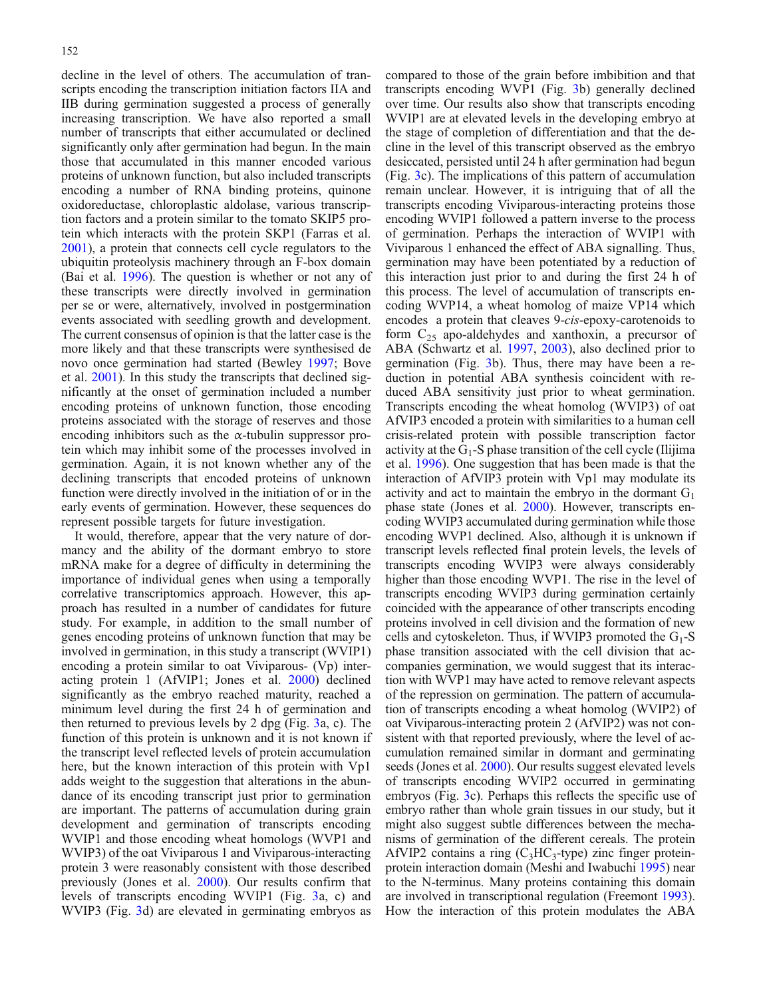decline in the level of others. The accumulation of transcripts encoding the transcription initiation factors IIA and IIB during germination suggested a process of generally increasing transcription. We have also reported a small number of transcripts that either accumulated or declined significantly only after germination had begun. In the main those that accumulated in this manner encoded various proteins of unknown function, but also included transcripts encoding a number of RNA binding proteins, quinone oxidoreductase, chloroplastic aldolase, various transcription factors and a protein similar to the tomato SKIP5 protein which interacts with the protein SKP1 (Farras et al. [2001](#page-9-0)), a protein that connects cell cycle regulators to the ubiquitin proteolysis machinery through an F-box domain (Bai et al. [1996\)](#page-9-0). The question is whether or not any of these transcripts were directly involved in germination per se or were, alternatively, involved in postgermination events associated with seedling growth and development. The current consensus of opinion is that the latter case is the more likely and that these transcripts were synthesised de novo once germination had started (Bewley [1997;](#page-9-0) Bove et al. [2001\)](#page-9-0). In this study the transcripts that declined significantly at the onset of germination included a number encoding proteins of unknown function, those encoding proteins associated with the storage of reserves and those encoding inhibitors such as the  $\alpha$ -tubulin suppressor protein which may inhibit some of the processes involved in germination. Again, it is not known whether any of the declining transcripts that encoded proteins of unknown function were directly involved in the initiation of or in the early events of germination. However, these sequences do represent possible targets for future investigation.

It would, therefore, appear that the very nature of dormancy and the ability of the dormant embryo to store mRNA make for a degree of difficulty in determining the importance of individual genes when using a temporally correlative transcriptomics approach. However, this approach has resulted in a number of candidates for future study. For example, in addition to the small number of genes encoding proteins of unknown function that may be involved in germination, in this study a transcript (WVIP1) encoding a protein similar to oat Viviparous- (Vp) interacting protein 1 (AfVIP1; Jones et al. [2000\)](#page-10-0) declined significantly as the embryo reached maturity, reached a minimum level during the first 24 h of germination and then returned to previous levels by 2 dpg (Fig. [3](#page-4-0)a, c). The function of this protein is unknown and it is not known if the transcript level reflected levels of protein accumulation here, but the known interaction of this protein with Vp1 adds weight to the suggestion that alterations in the abundance of its encoding transcript just prior to germination are important. The patterns of accumulation during grain development and germination of transcripts encoding WVIP1 and those encoding wheat homologs (WVP1 and WVIP3) of the oat Viviparous 1 and Viviparous-interacting protein 3 were reasonably consistent with those described previously (Jones et al. [2000\)](#page-10-0). Our results confirm that levels of transcripts encoding WVIP1 (Fig. [3](#page-4-0)a, c) and WVIP3 (Fig. [3](#page-4-0)d) are elevated in germinating embryos as

compared to those of the grain before imbibition and that transcripts encoding WVP1 (Fig. [3b](#page-4-0)) generally declined over time. Our results also show that transcripts encoding WVIP1 are at elevated levels in the developing embryo at the stage of completion of differentiation and that the decline in the level of this transcript observed as the embryo desiccated, persisted until 24 h after germination had begun (Fig. [3](#page-4-0)c). The implications of this pattern of accumulation remain unclear. However, it is intriguing that of all the transcripts encoding Viviparous-interacting proteins those encoding WVIP1 followed a pattern inverse to the process of germination. Perhaps the interaction of WVIP1 with Viviparous 1 enhanced the effect of ABA signalling. Thus, germination may have been potentiated by a reduction of this interaction just prior to and during the first 24 h of this process. The level of accumulation of transcripts encoding WVP14, a wheat homolog of maize VP14 which encodes a protein that cleaves 9-cis-epoxy-carotenoids to form  $C_{25}$  apo-aldehydes and xanthoxin, a precursor of ABA (Schwartz et al. [1997,](#page-10-0) [2003\)](#page-10-0), also declined prior to germination (Fig. [3](#page-4-0)b). Thus, there may have been a reduction in potential ABA synthesis coincident with reduced ABA sensitivity just prior to wheat germination. Transcripts encoding the wheat homolog (WVIP3) of oat AfVIP3 encoded a protein with similarities to a human cell crisis-related protein with possible transcription factor activity at the  $G_1$ -S phase transition of the cell cycle (Ilijima et al. [1996\)](#page-10-0). One suggestion that has been made is that the interaction of AfVIP3 protein with Vp1 may modulate its activity and act to maintain the embryo in the dormant  $G_1$ phase state (Jones et al. [2000](#page-10-0)). However, transcripts encoding WVIP3 accumulated during germination while those encoding WVP1 declined. Also, although it is unknown if transcript levels reflected final protein levels, the levels of transcripts encoding WVIP3 were always considerably higher than those encoding WVP1. The rise in the level of transcripts encoding WVIP3 during germination certainly coincided with the appearance of other transcripts encoding proteins involved in cell division and the formation of new cells and cytoskeleton. Thus, if WVIP3 promoted the  $G_1$ -S phase transition associated with the cell division that accompanies germination, we would suggest that its interaction with WVP1 may have acted to remove relevant aspects of the repression on germination. The pattern of accumulation of transcripts encoding a wheat homolog (WVIP2) of oat Viviparous-interacting protein 2 (AfVIP2) was not consistent with that reported previously, where the level of accumulation remained similar in dormant and germinating seeds (Jones et al. [2000\)](#page-10-0). Our results suggest elevated levels of transcripts encoding WVIP2 occurred in germinating embryos (Fig. [3](#page-4-0)c). Perhaps this reflects the specific use of embryo rather than whole grain tissues in our study, but it might also suggest subtle differences between the mechanisms of germination of the different cereals. The protein AfVIP2 contains a ring  $(C_3HC_3$ -type) zinc finger proteinprotein interaction domain (Meshi and Iwabuchi [1995\)](#page-10-0) near to the N-terminus. Many proteins containing this domain are involved in transcriptional regulation (Freemont [1993](#page-10-0)). How the interaction of this protein modulates the ABA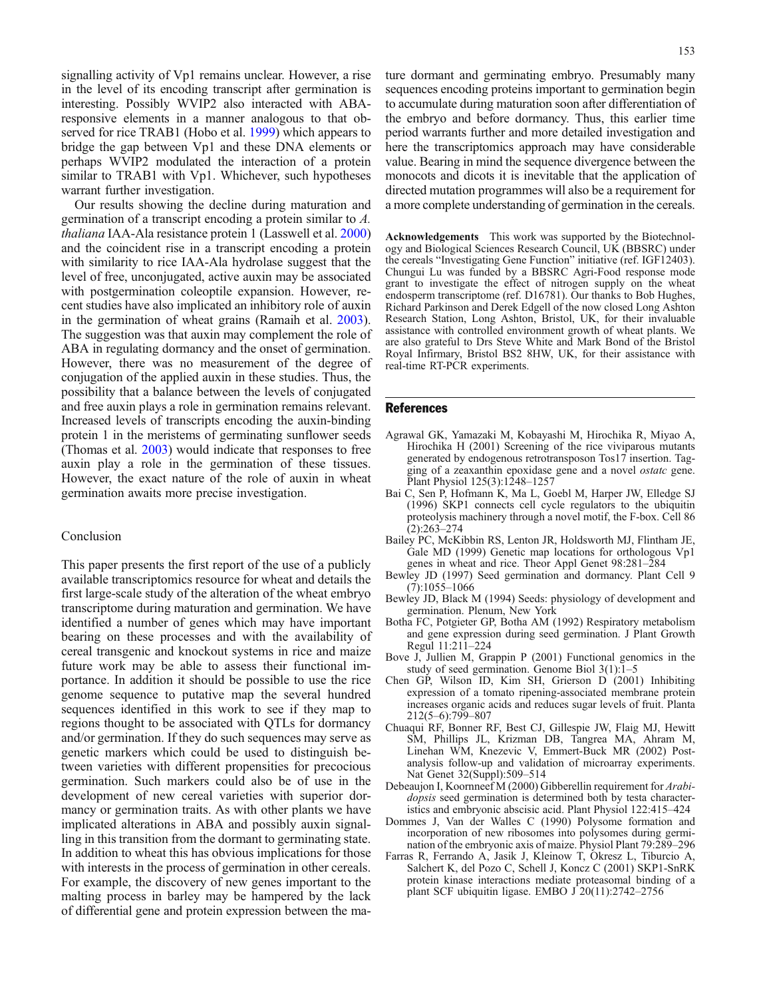<span id="page-9-0"></span>signalling activity of Vp1 remains unclear. However, a rise in the level of its encoding transcript after germination is interesting. Possibly WVIP2 also interacted with ABAresponsive elements in a manner analogous to that observed for rice TRAB1 (Hobo et al. [1999\)](#page-10-0) which appears to bridge the gap between Vp1 and these DNA elements or perhaps WVIP2 modulated the interaction of a protein similar to TRAB1 with Vp1. Whichever, such hypotheses warrant further investigation.

Our results showing the decline during maturation and germination of a transcript encoding a protein similar to A. thaliana IAA-Ala resistance protein 1 (Lasswell et al. [2000\)](#page-10-0) and the coincident rise in a transcript encoding a protein with similarity to rice IAA-Ala hydrolase suggest that the level of free, unconjugated, active auxin may be associated with postgermination coleoptile expansion. However, recent studies have also implicated an inhibitory role of auxin in the germination of wheat grains (Ramaih et al. [2003](#page-10-0)). The suggestion was that auxin may complement the role of ABA in regulating dormancy and the onset of germination. However, there was no measurement of the degree of conjugation of the applied auxin in these studies. Thus, the possibility that a balance between the levels of conjugated and free auxin plays a role in germination remains relevant. Increased levels of transcripts encoding the auxin-binding protein 1 in the meristems of germinating sunflower seeds (Thomas et al. [2003](#page-10-0)) would indicate that responses to free auxin play a role in the germination of these tissues. However, the exact nature of the role of auxin in wheat germination awaits more precise investigation.

#### Conclusion

This paper presents the first report of the use of a publicly available transcriptomics resource for wheat and details the first large-scale study of the alteration of the wheat embryo transcriptome during maturation and germination. We have identified a number of genes which may have important bearing on these processes and with the availability of cereal transgenic and knockout systems in rice and maize future work may be able to assess their functional importance. In addition it should be possible to use the rice genome sequence to putative map the several hundred sequences identified in this work to see if they map to regions thought to be associated with QTLs for dormancy and/or germination. If they do such sequences may serve as genetic markers which could be used to distinguish between varieties with different propensities for precocious germination. Such markers could also be of use in the development of new cereal varieties with superior dormancy or germination traits. As with other plants we have implicated alterations in ABA and possibly auxin signalling in this transition from the dormant to germinating state. In addition to wheat this has obvious implications for those with interests in the process of germination in other cereals. For example, the discovery of new genes important to the malting process in barley may be hampered by the lack of differential gene and protein expression between the ma-

ture dormant and germinating embryo. Presumably many sequences encoding proteins important to germination begin to accumulate during maturation soon after differentiation of the embryo and before dormancy. Thus, this earlier time period warrants further and more detailed investigation and here the transcriptomics approach may have considerable value. Bearing in mind the sequence divergence between the monocots and dicots it is inevitable that the application of directed mutation programmes will also be a requirement for a more complete understanding of germination in the cereals.

Acknowledgements This work was supported by the Biotechnology and Biological Sciences Research Council, UK (BBSRC) under the cereals "Investigating Gene Function" initiative (ref. IGF12403). Chungui Lu was funded by a BBSRC Agri-Food response mode grant to investigate the effect of nitrogen supply on the wheat endosperm transcriptome (ref. D16781). Our thanks to Bob Hughes, Richard Parkinson and Derek Edgell of the now closed Long Ashton Research Station, Long Ashton, Bristol, UK, for their invaluable assistance with controlled environment growth of wheat plants. We are also grateful to Drs Steve White and Mark Bond of the Bristol Royal Infirmary, Bristol BS2 8HW, UK, for their assistance with real-time RT-PCR experiments.

#### References

- Agrawal GK, Yamazaki M, Kobayashi M, Hirochika R, Miyao A, Hirochika H (2001) Screening of the rice viviparous mutants generated by endogenous retrotransposon Tos17 insertion. Tagging of a zeaxanthin epoxidase gene and a novel *ostatc* gene. Plant Physiol 125(3):1248–1257
- Bai C, Sen P, Hofmann K, Ma L, Goebl M, Harper JW, Elledge SJ (1996) SKP1 connects cell cycle regulators to the ubiquitin proteolysis machinery through a novel motif, the F-box. Cell 86  $(2):263 - 274$
- Bailey PC, McKibbin RS, Lenton JR, Holdsworth MJ, Flintham JE, Gale MD (1999) Genetic map locations for orthologous Vp1 genes in wheat and rice. Theor Appl Genet 98:281–284
- Bewley JD (1997) Seed germination and dormancy. Plant Cell 9 (7):1055–1066
- Bewley JD, Black M (1994) Seeds: physiology of development and germination. Plenum, New York
- Botha FC, Potgieter GP, Botha AM (1992) Respiratory metabolism and gene expression during seed germination. J Plant Growth Regul 11:211–224
- Bove J, Jullien M, Grappin P (2001) Functional genomics in the study of seed germination. Genome Biol 3(1):1–5
- Chen GP, Wilson ID, Kim SH, Grierson D (2001) Inhibiting expression of a tomato ripening-associated membrane protein increases organic acids and reduces sugar levels of fruit. Planta 212(5–6):799–807
- Chuaqui RF, Bonner RF, Best CJ, Gillespie JW, Flaig MJ, Hewitt SM, Phillips JL, Krizman DB, Tangrea MA, Ahram M, Linehan WM, Knezevic V, Emmert-Buck MR (2002) Postanalysis follow-up and validation of microarray experiments. Nat Genet 32(Suppl):509–514
- Debeaujon I, Koornneef M (2000) Gibberellin requirement for Arabidopsis seed germination is determined both by testa characteristics and embryonic abscisic acid. Plant Physiol 122:415–424
- Dommes J, Van der Walles C (1990) Polysome formation and incorporation of new ribosomes into polysomes during germination of the embryonic axis of maize. Physiol Plant 79:289–296
- Farras R, Ferrando A, Jasik J, Kleinow T, Okresz L, Tiburcio A, Salchert K, del Pozo C, Schell J, Koncz C (2001) SKP1-SnRK protein kinase interactions mediate proteasomal binding of a plant SCF ubiquitin ligase. EMBO J 20(11):2742–2756